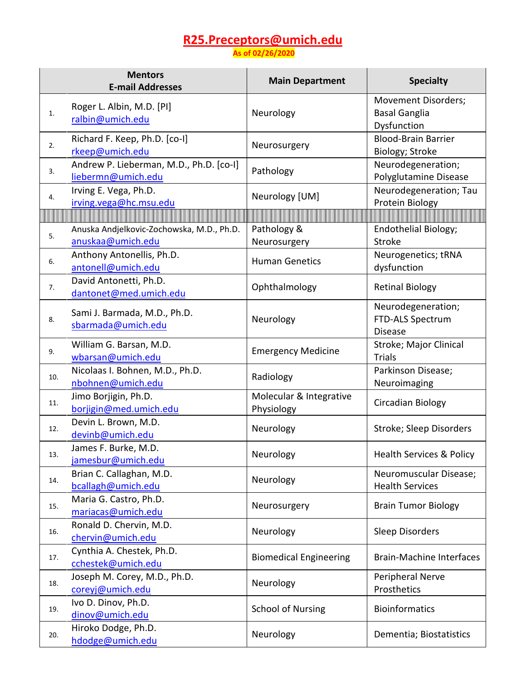## **[R25.Preceptors@umich.edu](mailto:R25.Preceptors@umich.edu) As of 02/26/2020**

**Mentors E-mail Addresses Main Department Specialty** Movement Disorders; Roger L. Albin, M.D. [PI] [ralbin@umich.edu](mailto:ralbin@umich.edu) Neurology Basal Ganglia Dysfunction Richard F. Keep, Ph.D. [co-I]<br>
2. The end of the state of the state of the state of the state of the state of the state of the state of the state of the state of the state of the state of the state of the state of the stat Biology; Stroke Andrew P. Lieberman, M.D., Ph.D. [co-I]  $\left\{\n\begin{array}{ccc}\n & \text{Neurodegeneration;} \\
\text{liebermn@umich.edu}\n\end{array}\n\right.$  $\left\{\n\begin{array}{ccc}\n & \text{Neurodegeneration;} \\
\text{liebermn@umich.edu}\n\end{array}\n\right.$  $\left\{\n\begin{array}{ccc}\n & \text{Neurodegeneration;} \\
\text{liebermn@umich.edu}\n\end{array}\n\right.$ Polyglutamine Disease Irving E. Vega, Ph.D. Irving E. Vega, Ph.D.<br>  $ivingvega@hc.msu.edu$  Neurology [UM] Neurology [UM] Protein Biology Protein Biology 5. Anuska Andjelkovic-Zochowska, M.D., Ph.D. Pathology & Endothelial Biology; [anuskaa@umich.edu](mailto:anuskaa@umich.edu)  **Neurosurgery** Stroke Anthony Antonellis, Ph.D.<br>
Elementary Antonell Commich.edu **Antonell Commich.edu** Human Genetics dysfunction dysfunction David Antonetti, Ph.D. [dantonet@med.umich.edu](mailto:dantonet@med.umich.edu) Ophthalmology Retinal Biology Neurodegeneration; 8. Sami J. Barmada, M.D., Ph.D. [sbarmada@umich.edu](mailto:sbarmada@umich.edu) Neurology FTD-ALS Spectrum Disease 9. William G. Barsan, M.D.<br>wharsan@umich.edu William G. Barsan, M.D.<br>
Wharsan@umich.edu **Emergency Medicine** Stroke; Major Clinical Trials Nicolaas I. Bohnen, M.D., Ph.D.<br>
10. **http://web.com/mich.edu Radiology** Radiology Reuroimaging Neuroimaging Jimo Borjigin, Ph.D. Molecular & Integrative Physiology **Circadian Biology** 11. [borjigin@med.umich.edu](mailto:borjigin@med.umich.edu) 12. Devin L. Brown, M.D.<br>devinb@umich.edu Neurology Stroke; Sleep Disorders James F. Burke, M.D. james i : Burke, W.D.<br>
jamesbur@umich.edu Neurology | Neurology | Health Services & Policy 13. 14. Brian C. Callaghan, M.D.<br> **http://e**umich.edu Brian C. Callaghan, M.D.<br>  $\begin{array}{|c|c|c|c|}\n\hline\n\end{array}$  Neurology  $\begin{array}{|c|c|c|c|}\n\hline\n\end{array}$  Health Services Health Services Maria G. Castro, Ph.D. maria G. Castro, Th.D.<br>
Neurosurgery Brain Tumor Biology<br>
Neurosurgery Brain Tumor Biology Ronald D. Chervin, M.D. [chervin@umich.edu](mailto:chervin@umich.edu) Neurology Neurology Sleep Disorders 16. 17. Cynthia A. Chestek, Ph.D.<br>
cchestek@umich.edu Biomedical Engineering | Brain-Machine Interfaces 18. Joseph M. Corey, M.D., Ph.D.<br>
<sup>18.</sup> [coreyj@umich.edu](mailto:coreyj@umich.edu) Neurology Prosthetics **Prosthetics**  $19.$  Ivo D. Dinov, Ph.D. dinov@umich.edu School of Nursing Bioinformatics 20. Hiroko Dodge, Ph.D.<br>
hdodge@umich.edu Neurology Dementia; Biostatistics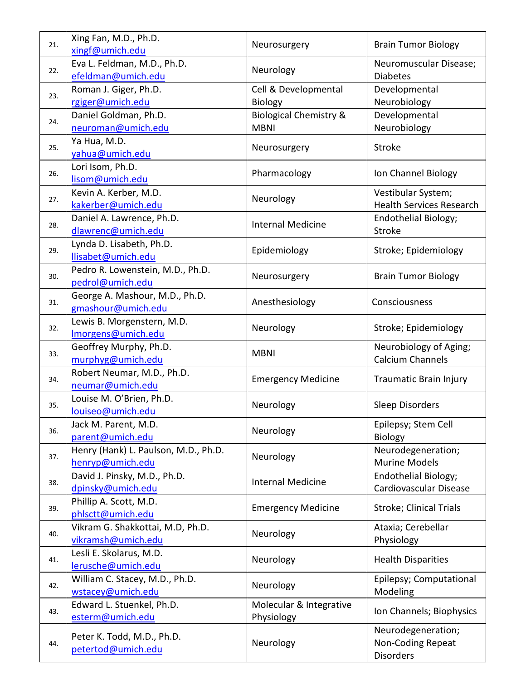| 21. | Xing Fan, M.D., Ph.D.<br>xingf@umich.edu                 | Neurosurgery                                     | <b>Brain Tumor Biology</b>                                         |
|-----|----------------------------------------------------------|--------------------------------------------------|--------------------------------------------------------------------|
| 22. | Eva L. Feldman, M.D., Ph.D.<br>efeldman@umich.edu        | Neurology                                        | Neuromuscular Disease;<br><b>Diabetes</b>                          |
| 23. | Roman J. Giger, Ph.D.<br>rgiger@umich.edu                | Cell & Developmental<br><b>Biology</b>           | Developmental<br>Neurobiology                                      |
| 24. | Daniel Goldman, Ph.D.<br>neuroman@umich.edu              | <b>Biological Chemistry &amp;</b><br><b>MBNI</b> | Developmental<br>Neurobiology                                      |
| 25. | Ya Hua, M.D.<br>yahua@umich.edu                          | Neurosurgery                                     | <b>Stroke</b>                                                      |
| 26. | Lori Isom, Ph.D.<br>lisom@umich.edu                      | Pharmacology                                     | Ion Channel Biology                                                |
| 27. | Kevin A. Kerber, M.D.<br>kakerber@umich.edu              | Neurology                                        | Vestibular System;<br><b>Health Services Research</b>              |
| 28. | Daniel A. Lawrence, Ph.D.<br>dlawrenc@umich.edu          | <b>Internal Medicine</b>                         | Endothelial Biology;<br>Stroke                                     |
| 29. | Lynda D. Lisabeth, Ph.D.<br>llisabet@umich.edu           | Epidemiology                                     | Stroke; Epidemiology                                               |
| 30. | Pedro R. Lowenstein, M.D., Ph.D.<br>pedrol@umich.edu     | Neurosurgery                                     | <b>Brain Tumor Biology</b>                                         |
| 31. | George A. Mashour, M.D., Ph.D.<br>gmashour@umich.edu     | Anesthesiology                                   | Consciousness                                                      |
| 32. | Lewis B. Morgenstern, M.D.<br>Imorgens@umich.edu         | Neurology                                        | Stroke; Epidemiology                                               |
| 33. | Geoffrey Murphy, Ph.D.<br>murphyg@umich.edu              | <b>MBNI</b>                                      | Neurobiology of Aging;<br><b>Calcium Channels</b>                  |
| 34. | Robert Neumar, M.D., Ph.D.<br>neumar@umich.edu           | <b>Emergency Medicine</b>                        | <b>Traumatic Brain Injury</b>                                      |
| 35. | Louise M. O'Brien, Ph.D.<br>louiseo@umich.edu            | Neurology                                        | <b>Sleep Disorders</b>                                             |
| 36. | Jack M. Parent, M.D.<br>parent@umich.edu                 | Neurology                                        | Epilepsy; Stem Cell<br>Biology                                     |
| 37. | Henry (Hank) L. Paulson, M.D., Ph.D.<br>henryp@umich.edu | Neurology                                        | Neurodegeneration;<br><b>Murine Models</b>                         |
| 38. | David J. Pinsky, M.D., Ph.D.<br>dpinsky@umich.edu        | <b>Internal Medicine</b>                         | Endothelial Biology;<br>Cardiovascular Disease                     |
| 39. | Phillip A. Scott, M.D.<br>phlsctt@umich.edu              | <b>Emergency Medicine</b>                        | Stroke; Clinical Trials                                            |
| 40. | Vikram G. Shakkottai, M.D, Ph.D.<br>vikramsh@umich.edu   | Neurology                                        | Ataxia; Cerebellar<br>Physiology                                   |
| 41. | Lesli E. Skolarus, M.D.<br>lerusche@umich.edu            | Neurology                                        | <b>Health Disparities</b>                                          |
| 42. | William C. Stacey, M.D., Ph.D.<br>wstacey@umich.edu      | Neurology                                        | Epilepsy; Computational<br>Modeling                                |
| 43. | Edward L. Stuenkel, Ph.D.<br>esterm@umich.edu            | Molecular & Integrative<br>Physiology            | Ion Channels; Biophysics                                           |
| 44. | Peter K. Todd, M.D., Ph.D.<br>petertod@umich.edu         | Neurology                                        | Neurodegeneration;<br><b>Non-Coding Repeat</b><br><b>Disorders</b> |